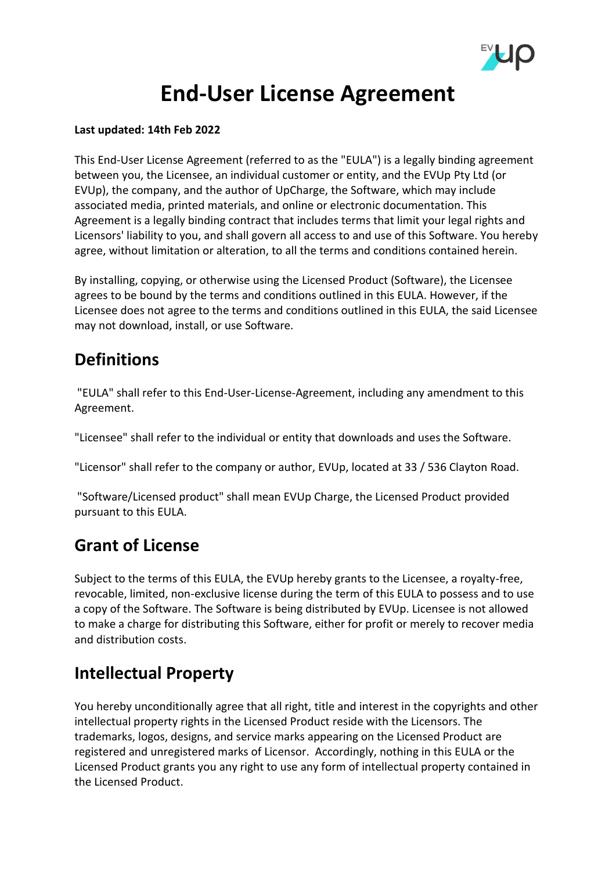

## **End-User License Agreement**

#### **Last updated: 14th Feb 2022**

This End-User License Agreement (referred to as the "EULA") is a legally binding agreement between you, the Licensee, an individual customer or entity, and the EVUp Pty Ltd (or EVUp), the company, and the author of UpCharge, the Software, which may include associated media, printed materials, and online or electronic documentation. This Agreement is a legally binding contract that includes terms that limit your legal rights and Licensors' liability to you, and shall govern all access to and use of this Software. You hereby agree, without limitation or alteration, to all the terms and conditions contained herein.

By installing, copying, or otherwise using the Licensed Product (Software), the Licensee agrees to be bound by the terms and conditions outlined in this EULA. However, if the Licensee does not agree to the terms and conditions outlined in this EULA, the said Licensee may not download, install, or use Software.

## **Definitions**

"EULA" shall refer to this End-User-License-Agreement, including any amendment to this Agreement.

"Licensee" shall refer to the individual or entity that downloads and uses the Software.

"Licensor" shall refer to the company or author, EVUp, located at 33 / 536 Clayton Road.

"Software/Licensed product" shall mean EVUp Charge, the Licensed Product provided pursuant to this EULA.

## **Grant of License**

Subject to the terms of this EULA, the EVUp hereby grants to the Licensee, a royalty-free, revocable, limited, non-exclusive license during the term of this EULA to possess and to use a copy of the Software. The Software is being distributed by EVUp. Licensee is not allowed to make a charge for distributing this Software, either for profit or merely to recover media and distribution costs.

## **Intellectual Property**

You hereby unconditionally agree that all right, title and interest in the copyrights and other intellectual property rights in the Licensed Product reside with the Licensors. The trademarks, logos, designs, and service marks appearing on the Licensed Product are registered and unregistered marks of Licensor. Accordingly, nothing in this EULA or the Licensed Product grants you any right to use any form of intellectual property contained in the Licensed Product.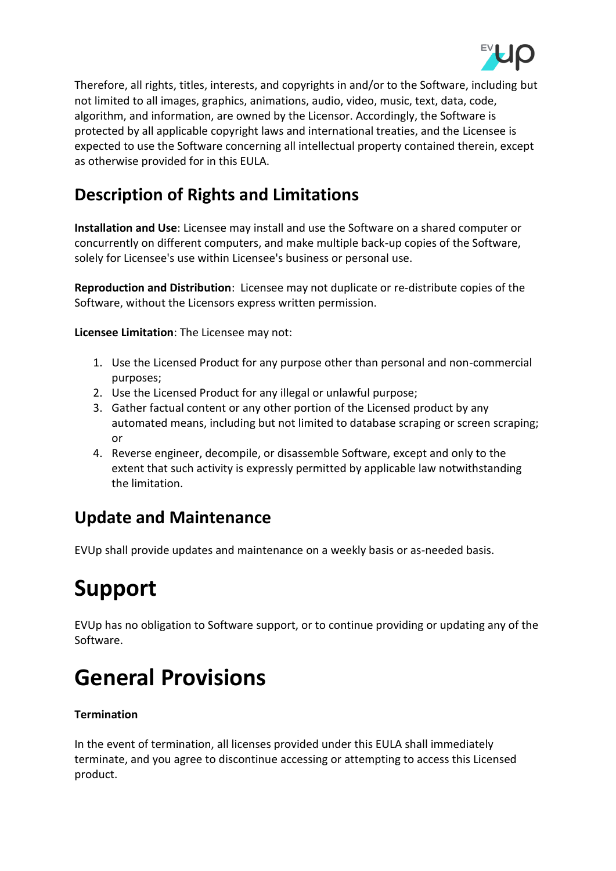

Therefore, all rights, titles, interests, and copyrights in and/or to the Software, including but not limited to all images, graphics, animations, audio, video, music, text, data, code, algorithm, and information, are owned by the Licensor. Accordingly, the Software is protected by all applicable copyright laws and international treaties, and the Licensee is expected to use the Software concerning all intellectual property contained therein, except as otherwise provided for in this EULA.

## **Description of Rights and Limitations**

**Installation and Use**: Licensee may install and use the Software on a shared computer or concurrently on different computers, and make multiple back-up copies of the Software, solely for Licensee's use within Licensee's business or personal use.

**Reproduction and Distribution**: Licensee may not duplicate or re-distribute copies of the Software, without the Licensors express written permission.

**Licensee Limitation**: The Licensee may not:

- 1. Use the Licensed Product for any purpose other than personal and non-commercial purposes;
- 2. Use the Licensed Product for any illegal or unlawful purpose;
- 3. Gather factual content or any other portion of the Licensed product by any automated means, including but not limited to database scraping or screen scraping; or
- 4. Reverse engineer, decompile, or disassemble Software, except and only to the extent that such activity is expressly permitted by applicable law notwithstanding the limitation.

## **Update and Maintenance**

EVUp shall provide updates and maintenance on a weekly basis or as-needed basis.

# **Support**

EVUp has no obligation to Software support, or to continue providing or updating any of the Software.

# **General Provisions**

#### **Termination**

In the event of termination, all licenses provided under this EULA shall immediately terminate, and you agree to discontinue accessing or attempting to access this Licensed product.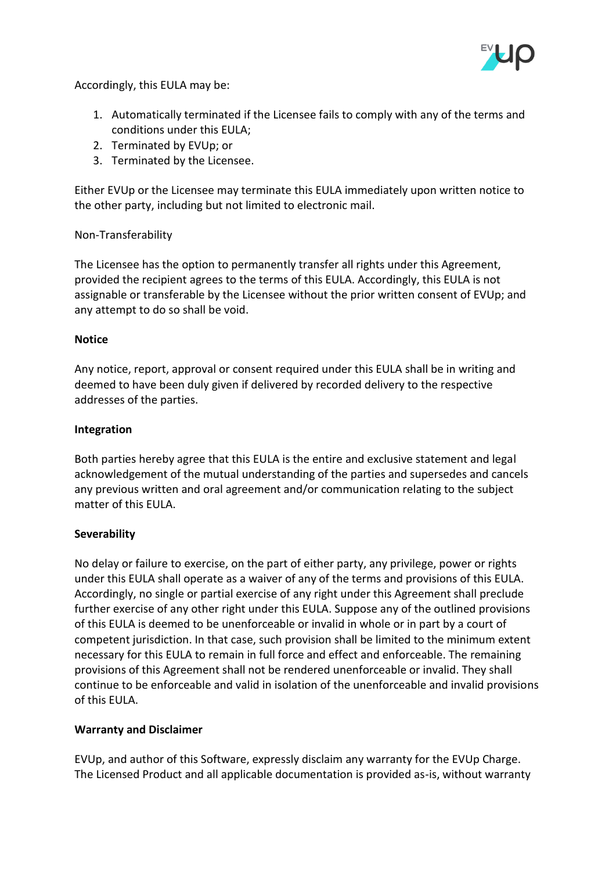

Accordingly, this EULA may be:

- 1. Automatically terminated if the Licensee fails to comply with any of the terms and conditions under this EULA;
- 2. Terminated by EVUp; or
- 3. Terminated by the Licensee.

Either EVUp or the Licensee may terminate this EULA immediately upon written notice to the other party, including but not limited to electronic mail.

#### Non-Transferability

The Licensee has the option to permanently transfer all rights under this Agreement, provided the recipient agrees to the terms of this EULA. Accordingly, this EULA is not assignable or transferable by the Licensee without the prior written consent of EVUp; and any attempt to do so shall be void.

#### **Notice**

Any notice, report, approval or consent required under this EULA shall be in writing and deemed to have been duly given if delivered by recorded delivery to the respective addresses of the parties.

#### **Integration**

Both parties hereby agree that this EULA is the entire and exclusive statement and legal acknowledgement of the mutual understanding of the parties and supersedes and cancels any previous written and oral agreement and/or communication relating to the subject matter of this EULA.

#### **Severability**

No delay or failure to exercise, on the part of either party, any privilege, power or rights under this EULA shall operate as a waiver of any of the terms and provisions of this EULA. Accordingly, no single or partial exercise of any right under this Agreement shall preclude further exercise of any other right under this EULA. Suppose any of the outlined provisions of this EULA is deemed to be unenforceable or invalid in whole or in part by a court of competent jurisdiction. In that case, such provision shall be limited to the minimum extent necessary for this EULA to remain in full force and effect and enforceable. The remaining provisions of this Agreement shall not be rendered unenforceable or invalid. They shall continue to be enforceable and valid in isolation of the unenforceable and invalid provisions of this EULA.

#### **Warranty and Disclaimer**

EVUp, and author of this Software, expressly disclaim any warranty for the EVUp Charge. The Licensed Product and all applicable documentation is provided as-is, without warranty